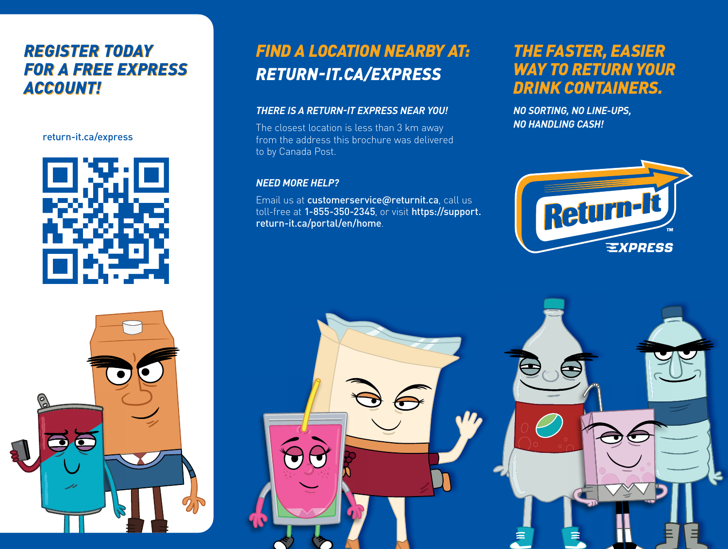# *REGISTER TODAY REGISTER TODAY FOR A FREE EXPRESS FOR A FREE EXPRESS ACCOUNT! ACCOUNT!*

### return-it.ca/express



# *FIND A LOCATION NEARBY AT: RETURN-IT.CA/EXPRESS*

### *THERE IS A RETURN-IT EXPRESS NEAR YOU!*

The closest location is less than 3 km away from the address this brochure was delivered to by Canada Post.

### *NEED MORE HELP?*

Email us at customerservice@returnit.ca, call us toll-free at 1-855-350-2345, or visit https://support. return-it.ca/portal/en/home.

# *THE FASTER, EASIER WAY TO RETURN YOUR DRINK CONTAINERS.*

*NO SORTING, NO LINE-UPS, NO HANDLING CASH!*